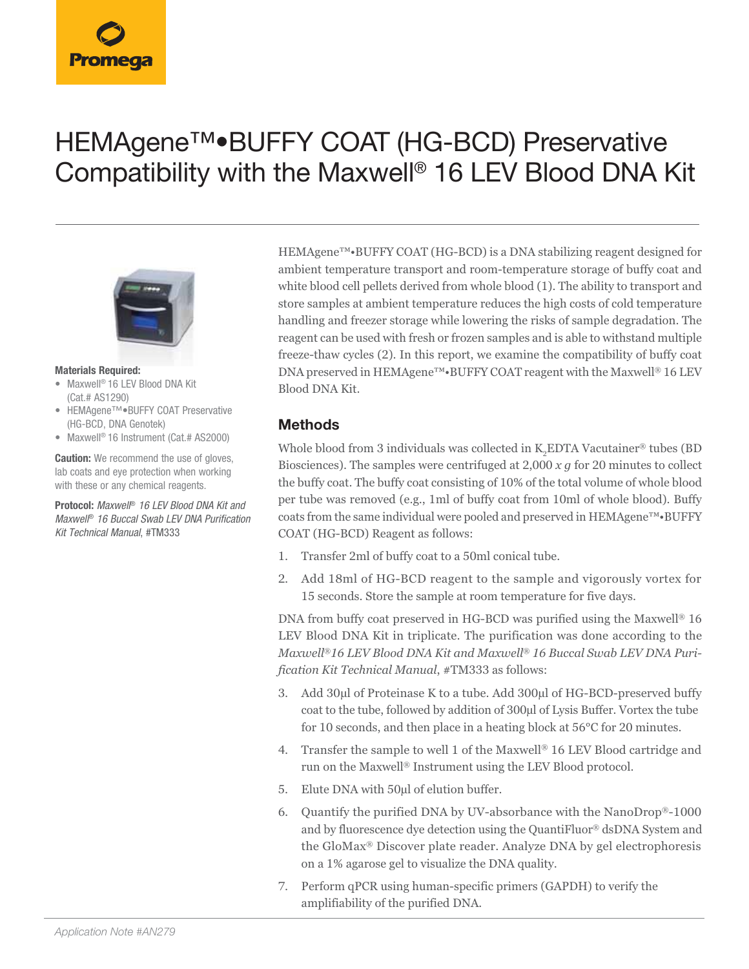# HEMAgene™•BUFFY COAT (HG-BCD) Preservative Compatibility with the Maxwell® 16 LEV Blood DNA Kit



#### **Materials Required:**

- Maxwell® 16 LEV Blood DNA Kit (Cat.# AS1290)
- HEMAgene™•BUFFY COAT Preservative (HG-BCD, DNA Genotek)
- Maxwell® 16 Instrument (Cat.# AS2000)

**Caution:** We recommend the use of gloves, lab coats and eye protection when working with these or any chemical reagents.

**Protocol:** *Maxwell*® *16 LEV Blood DNA Kit and Maxwell*® *16 Buccal Swab LEV DNA Purification Kit Technical Manual*, #TM333

HEMAgene™•BUFFY COAT (HG-BCD) is a DNA stabilizing reagent designed for ambient temperature transport and room-temperature storage of buffy coat and white blood cell pellets derived from whole blood (1). The ability to transport and store samples at ambient temperature reduces the high costs of cold temperature handling and freezer storage while lowering the risks of sample degradation. The reagent can be used with fresh or frozen samples and is able to withstand multiple freeze-thaw cycles (2). In this report, we examine the compatibility of buffy coat DNA preserved in HEMAgene™•BUFFY COAT reagent with the Maxwell® 16 LEV Blood DNA Kit.

#### **Methods**

Whole blood from 3 individuals was collected in  $\rm K_2$ EDTA Vacutainer® tubes (BD Biosciences). The samples were centrifuged at 2,000 *x g* for 20 minutes to collect the buffy coat. The buffy coat consisting of 10% of the total volume of whole blood per tube was removed (e.g., 1ml of buffy coat from 10ml of whole blood). Buffy coats from the same individual were pooled and preserved in HEMAgene™•BUFFY COAT (HG-BCD) Reagent as follows:

- 1. Transfer 2ml of buffy coat to a 50ml conical tube.
- 2. Add 18ml of HG-BCD reagent to the sample and vigorously vortex for 15 seconds. Store the sample at room temperature for five days.

DNA from buffy coat preserved in HG-BCD was purified using the Maxwell® 16 LEV Blood DNA Kit in triplicate. The purification was done according to the *Maxwell*®*16 LEV Blood DNA Kit and Maxwell*® *16 Buccal Swab LEV DNA Purification Kit Technical Manual*, #TM333 as follows:

- 3. Add 30µl of Proteinase K to a tube. Add 300µl of HG-BCD-preserved buffy coat to the tube, followed by addition of 300µl of Lysis Buffer. Vortex the tube for 10 seconds, and then place in a heating block at 56°C for 20 minutes.
- 4. Transfer the sample to well 1 of the Maxwell® 16 LEV Blood cartridge and run on the Maxwell® Instrument using the LEV Blood protocol.
- 5. Elute DNA with 50µl of elution buffer.
- 6. Quantify the purified DNA by UV-absorbance with the NanoDrop®-1000 and by fluorescence dye detection using the QuantiFluor® dsDNA System and the GloMax® Discover plate reader. Analyze DNA by gel electrophoresis on a 1% agarose gel to visualize the DNA quality.
- 7. Perform qPCR using human-specific primers (GAPDH) to verify the amplifiability of the purified DNA.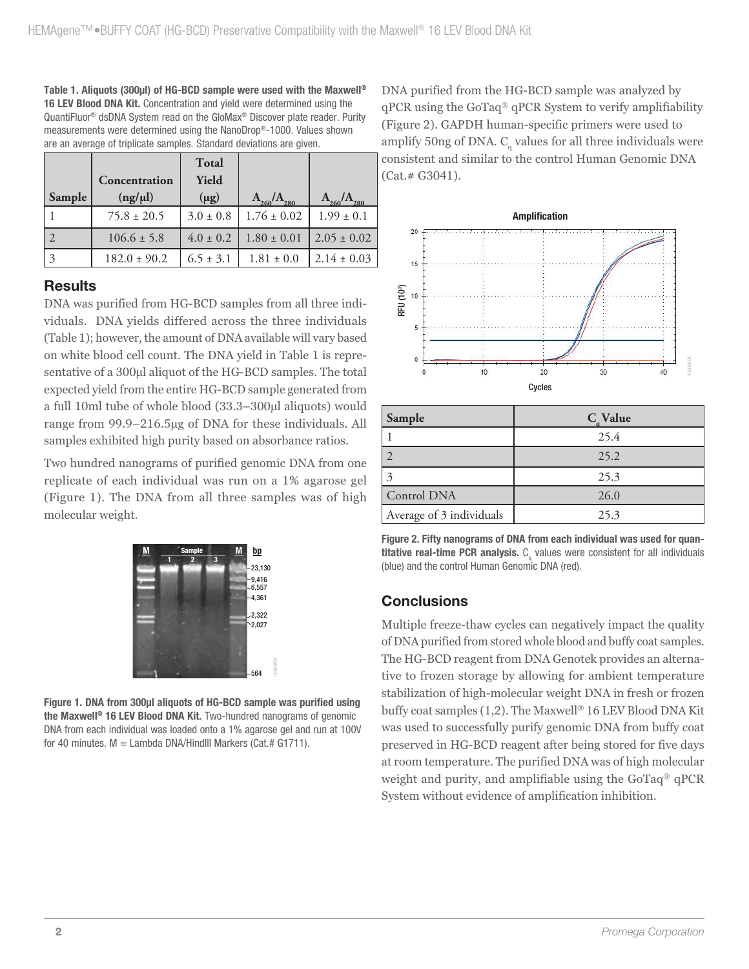**Table 1. Aliquots (300µl) of HG-BCD sample were used with the Maxwell® 16 LEV Blood DNA Kit.** Concentration and yield were determined using the QuantiFluor® dsDNA System read on the GloMax® Discover plate reader. Purity measurements were determined using the NanoDrop®-1000. Values shown are an average of triplicate samples. Standard deviations are given.

|        |                  | Total         |                             |                 |
|--------|------------------|---------------|-----------------------------|-----------------|
|        | Concentration    | Yield         |                             |                 |
| Sample | (ng/µl)          | $(\mu g)$     | $\rm A^{}_{260}/A^{}_{280}$ | 260<br>280      |
|        | $75.8 \pm 20.5$  | $3.0 \pm 0.8$ | $1.76 \pm 0.02$             | $1.99 \pm 0.1$  |
|        | $106.6 \pm 5.8$  | $4.0 \pm 0.2$ | $1.80 \pm 0.01$             | $2.05 \pm 0.02$ |
| 3      | $182.0 \pm 90.2$ | $6.5 \pm 3.1$ | $1.81 \pm 0.0$              | $2.14 \pm 0.03$ |

### **Results**

DNA was purified from HG-BCD samples from all three individuals. DNA yields differed across the three individuals (Table 1); however, the amount of DNA available will vary based on white blood cell count. The DNA yield in Table 1 is representative of a 300 $\mu$ l aliquot of the HG-BCD samples. The total expected yield from the entire HG-BCD sample generated from a full 10ml tube of whole blood (33.3–300µl aliquots) would range from 99.9–216.5µg of DNA for these individuals. All samples exhibited high purity based on absorbance ratios.

Two hundred nanograms of purified genomic DNA from one replicate of each individual was run on a 1% agarose gel (Figure 1). The DNA from all three samples was of high molecular weight.



**Figure 1. DNA from 300µl aliquots of HG-BCD sample was purified using the Maxwell® 16 LEV Blood DNA Kit.** Two-hundred nanograms of genomic DNA from each individual was loaded onto a 1% agarose gel and run at 100V for 40 minutes.  $M =$  Lambda DNA/HindIII Markers (Cat.# G1711).

DNA purified from the HG-BCD sample was analyzed by qPCR using the GoTaq® qPCR System to verify amplifiability (Figure 2). GAPDH human-specific primers were used to amplify 50ng of DNA.  $C_{\text{q}}$  values for all three individuals were consistent and similar to the control Human Genomic DNA (Cat.# G3041).



| Sample                   | $C_{\alpha}$ Value |  |  |
|--------------------------|--------------------|--|--|
|                          | 25.4               |  |  |
|                          | 25.2               |  |  |
| 3                        | 25.3               |  |  |
| Control DNA              | 26.0               |  |  |
| Average of 3 individuals | 25.3               |  |  |

**Figure 2. Fifty nanograms of DNA from each individual was used for quantitative real-time PCR analysis.** C<sub>q</sub> values were consistent for all individuals (blue) and the control Human Genomic DNA (red).

## **Conclusions**

Multiple freeze-thaw cycles can negatively impact the quality of DNA purified from stored whole blood and buffy coat samples. The HG-BCD reagent from DNA Genotek provides an alternative to frozen storage by allowing for ambient temperature stabilization of high-molecular weight DNA in fresh or frozen buffy coat samples (1,2). The Maxwell® 16 LEV Blood DNA Kit was used to successfully purify genomic DNA from buffy coat preserved in HG-BCD reagent after being stored for five days at room temperature. The purified DNA was of high molecular weight and purity, and amplifiable using the GoTaq® qPCR System without evidence of amplification inhibition.